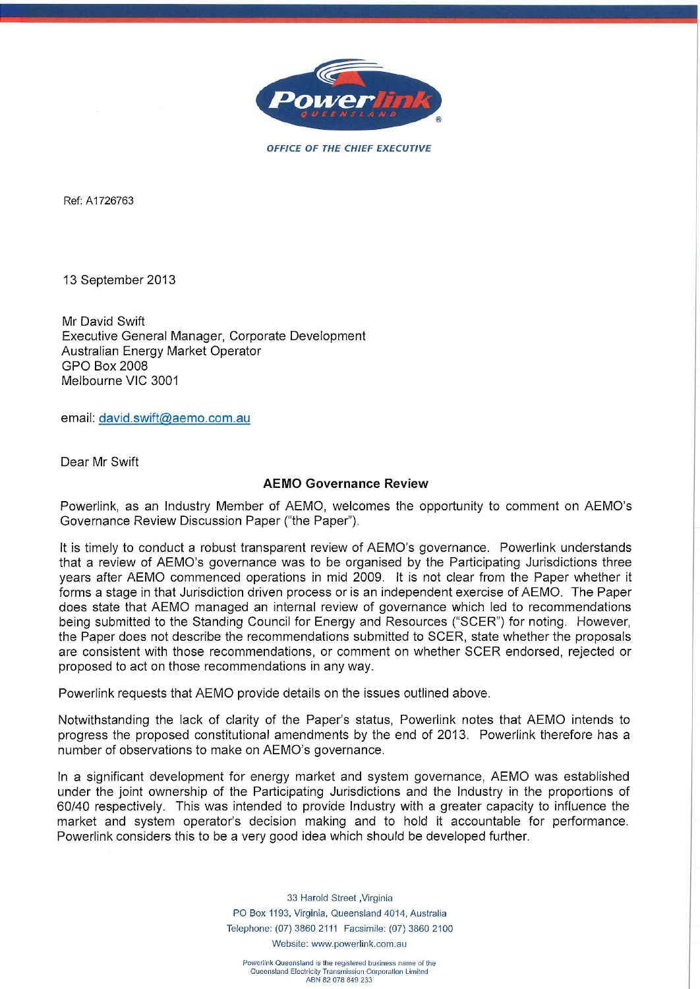

**OFFICE OF THE CHIEF EXECUTIVE** 

Ref: A 1726763

13 September 2013

Mr David Swift Executive General Manager, Corporate Development Australian Energy Market Operator GPO Box 2008 Melbourne VIC 3001

email: david.swift@aemo.com.au

Dear Mr Swift

## **AEMO Governance Review**

Powerlink, as an Industry Member of AEMO, welcomes the opportunity to comment on AEMO's Governance Review Discussion Paper ("the Paper").

It is timely to conduct a robust transparent review of AEMO's governance. Powerlink understands that a review of AEMO's governance was to be organised by the Participating Jurisdictions three years after AEMO commenced operations in mid 2009. It is not clear from the Paper whether it forms a stage in that Jurisdiction driven process or is an independent exercise of AEMO. The Paper does state that AEMO managed an internal review of governance which led to recommendations being submitted to the Standing Council for Energy and Resources ("SCER") for noting. However, the Paper does not describe the recommendations submitted to SCER, state whether the proposals are consistent with those recommendations, or comment on whether SCER endorsed, rejected or proposed to act on those recommendations in any way.

Powerlink requests that AEMO provide details on the issues outlined above.

Notwithstanding the lack of clarity of the Paper's status, Powerlink notes that AEMO intends to progress the proposed constitutional amendments by the end of 2013. Powerlink therefore has a number of observations to make on AEMO's governance.

In a significant development for energy market and system governance, AEMO was established under the joint ownership of the Participating Jurisdictions and the Industry in the proportions of 60/40 respectively. This was intended to provide Industry with a greater capacity to influence the market and system operator's decision making and to hold it accountable for performance. Powerlink considers this to be a very good idea which should be developed further.

> 33 Harold Street ,Virginia PO Box 1193, Virginia, Queensland 4014, Australia Telephone: (07) 3860 2111 Facsimile: (07) 3860 2100 Website: www.powerlink.com.au

Powerlink Queensland is the regislered business name of the Queensland Electricity Transmission Corporation Limited ABN 82 078 849 233